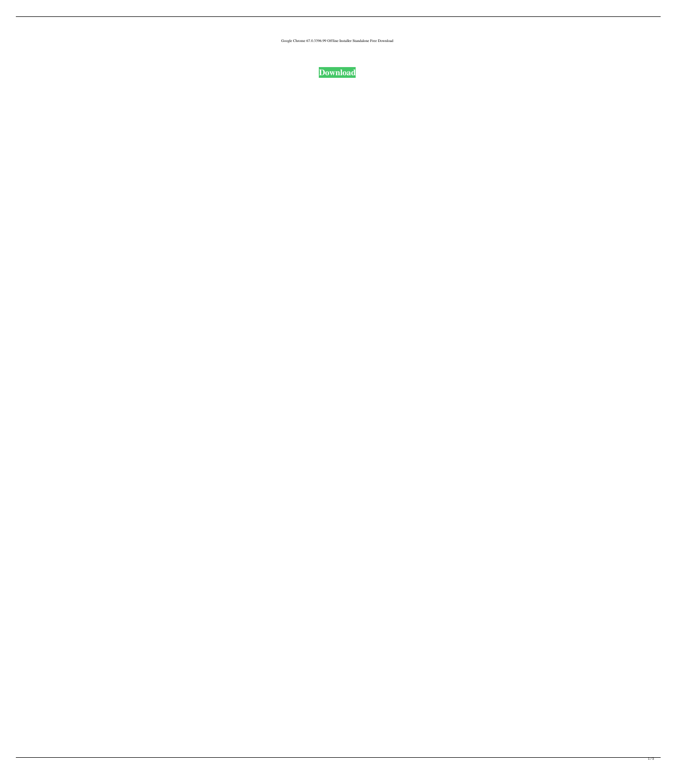Google Chrome 67.0.3396.99 Offline Installer Standalone Free Download



 $1/3$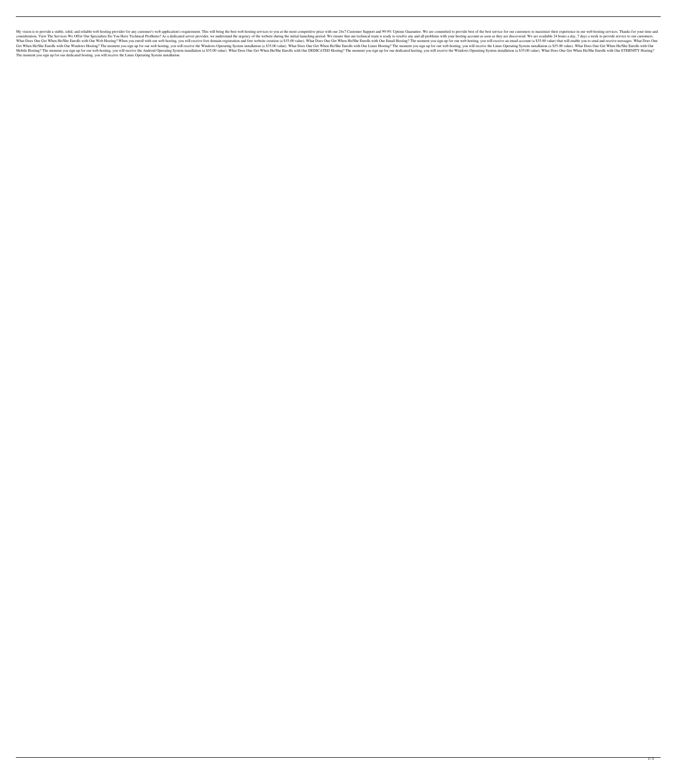My vision is to provide a stable, solid, and reliable web hosting provider for any customer's web application's requirement. This will bring the best web hosting services to you at the most competitive price with our 24x7 consideration. View The Services We Offer Our Specialties Do You Have Technical Problems? As a dedicated server provider, we understand the urgency of the website during the initial launching period. We ensure that our tec What Does One Get When He/She Enrolls with Our Web Hosting? When you enroll with our web hosting, you will receive free domain registration and free website creation (a \$35.00 value). What Does One Get When He/She Enrolls Get When He/She Enrolls with Our Windows Hosting? The moment you sign up for our web hosting, you will receive the Windows Operating System installation (a \$35.00 value). What Does One Get When He/She Enrolls with Our Linu Mobile Hosting? The moment you sign up for our web hosting, you will receive the Android Operating System installation (a \$35.00 value). What Does One Get When He/She Enrolls with Our DEDICATED Hosting, you will receive th The moment you sign up for our dedicated hosting, you will receive the Linux Operating System installation